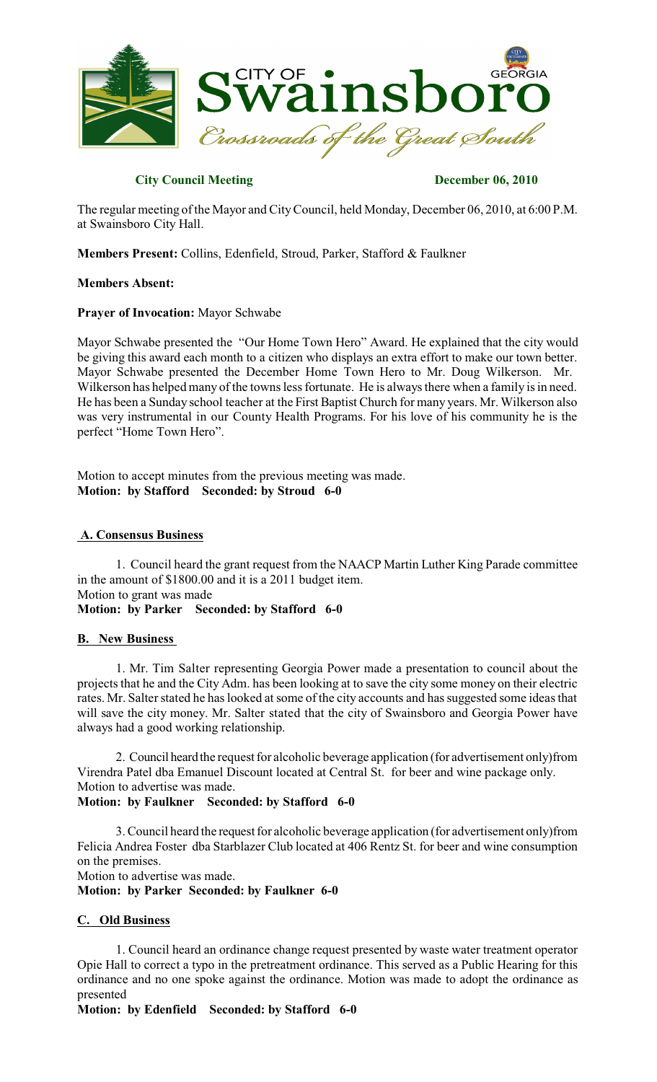

## **City Council Meeting December 06, 2010**

The regular meeting of the Mayor and CityCouncil, held Monday, December 06, 2010, at 6:00 P.M. at Swainsboro City Hall.

**Members Present:** Collins, Edenfield, Stroud, Parker, Stafford & Faulkner

### **Members Absent:**

#### **Prayer of Invocation:** Mayor Schwabe

Mayor Schwabe presented the "Our Home Town Hero" Award. He explained that the city would be giving this award each month to a citizen who displays an extra effort to make our town better. Mayor Schwabe presented the December Home Town Hero to Mr. Doug Wilkerson. Mr. Wilkerson has helped many of the towns less fortunate. He is always there when a family is in need. He has been a Sunday school teacher at the First Baptist Church for many years. Mr. Wilkerson also was very instrumental in our County Health Programs. For his love of his community he is the perfect "Home Town Hero".

Motion to accept minutes from the previous meeting was made. **Motion: by Stafford Seconded: by Stroud 6-0**

#### **A. Consensus Business**

1. Council heard the grant request from the NAACP Martin Luther King Parade committee in the amount of \$1800.00 and it is a 2011 budget item. Motion to grant was made

**Motion: by Parker Seconded: by Stafford 6-0**

### **B. New Business**

1. Mr. Tim Salter representing Georgia Power made a presentation to council about the projects that he and the City Adm. has been looking at to save the city some money on their electric rates. Mr. Salter stated he has looked at some of the city accounts and has suggested some ideas that will save the city money. Mr. Salter stated that the city of Swainsboro and Georgia Power have always had a good working relationship.

2. Council heard the request for alcoholic beverage application (for advertisement only)from Virendra Patel dba Emanuel Discount located at Central St. for beer and wine package only. Motion to advertise was made.

**Motion: by Faulkner Seconded: by Stafford 6-0**

3. Council heard the request for alcoholic beverage application (for advertisement only)from Felicia Andrea Foster dba Starblazer Club located at 406 Rentz St. for beer and wine consumption on the premises. Motion to advertise was made.

**Motion: by Parker Seconded: by Faulkner 6-0**

### **C. Old Business**

1. Council heard an ordinance change request presented by waste water treatment operator Opie Hall to correct a typo in the pretreatment ordinance. This served as a Public Hearing for this ordinance and no one spoke against the ordinance. Motion was made to adopt the ordinance as presented

**Motion: by Edenfield Seconded: by Stafford 6-0**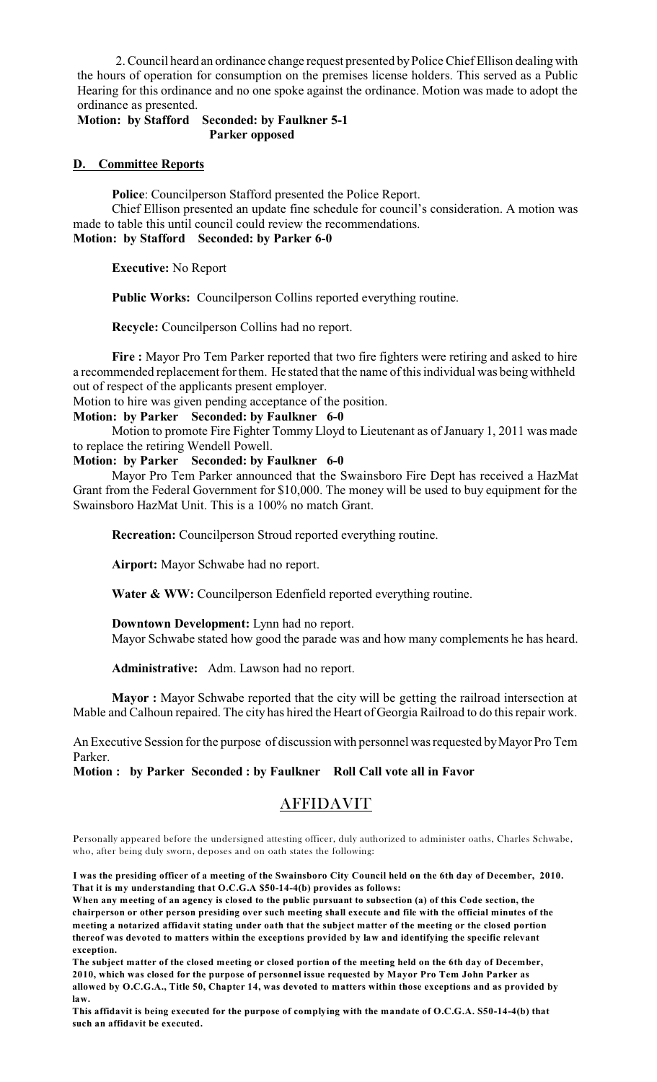2. Council heard an ordinance change request presented byPolice Chief Ellison dealing with the hours of operation for consumption on the premises license holders. This served as a Public Hearing for this ordinance and no one spoke against the ordinance. Motion was made to adopt the ordinance as presented.

### **Motion: by Stafford Seconded: by Faulkner 5-1 Parker opposed**

#### **D. Committee Reports**

**Police**: Councilperson Stafford presented the Police Report.

Chief Ellison presented an update fine schedule for council's consideration. A motion was made to table this until council could review the recommendations. **Motion: by Stafford Seconded: by Parker 6-0**

**Executive:** No Report

**Public Works:** Councilperson Collins reported everything routine.

**Recycle:** Councilperson Collins had no report.

**Fire :** Mayor Pro Tem Parker reported that two fire fighters were retiring and asked to hire a recommended replacement for them. He stated that the name of this individual was being withheld out of respect of the applicants present employer.

Motion to hire was given pending acceptance of the position.

# **Motion: by Parker Seconded: by Faulkner 6-0**

Motion to promote Fire Fighter Tommy Lloyd to Lieutenant as of January 1, 2011 was made to replace the retiring Wendell Powell.

#### **Motion: by Parker Seconded: by Faulkner 6-0**

Mayor Pro Tem Parker announced that the Swainsboro Fire Dept has received a HazMat Grant from the Federal Government for \$10,000. The money will be used to buy equipment for the Swainsboro HazMat Unit. This is a 100% no match Grant.

**Recreation:** Councilperson Stroud reported everything routine.

**Airport:** Mayor Schwabe had no report.

Water & WW: Councilperson Edenfield reported everything routine.

**Downtown Development:** Lynn had no report.

Mayor Schwabe stated how good the parade was and how many complements he has heard.

**Administrative:** Adm. Lawson had no report.

**Mayor :** Mayor Schwabe reported that the city will be getting the railroad intersection at Mable and Calhoun repaired. The city has hired the Heart of Georgia Railroad to do this repair work.

An Executive Session for the purpose of discussion with personnel wasrequested byMayor Pro Tem Parker.

### **Motion : by Parker Seconded : by Faulkner Roll Call vote all in Favor**

# AFFIDAVIT

Personally appeared before the undersigned attesting officer, duly authorized to administer oaths, Charles Schwabe, who, after being duly sworn, deposes and on oath states the following:

I was the presiding officer of a meeting of the Swainsboro City Council held on the 6th day of December, 2010. **That it is my understanding that O.C.G.A \$50-14-4(b) provides as follows:**

When any meeting of an agency is closed to the public pursuant to subsection (a) of this Code section, the chairperson or other person presiding over such meeting shall execute and file with the official minutes of the meeting a notarized affidavit stating under oath that the subject matter of the meeting or the closed portion **thereof was devoted to matters within the exceptions provided by law and identifying the specific relevant exception.**

The subject matter of the closed meeting or closed portion of the meeting held on the 6th day of December, **2010, which was closed for the purpose of personnel issue requested by Mayor Pro Tem John Parker as** allowed by O.C.G.A., Title 50, Chapter 14, was devoted to matters within those exceptions and as provided by **law.**

This affidavit is being executed for the purpose of complying with the mandate of O.C.G.A. S50-14-4(b) that **such an affidavit be executed.**